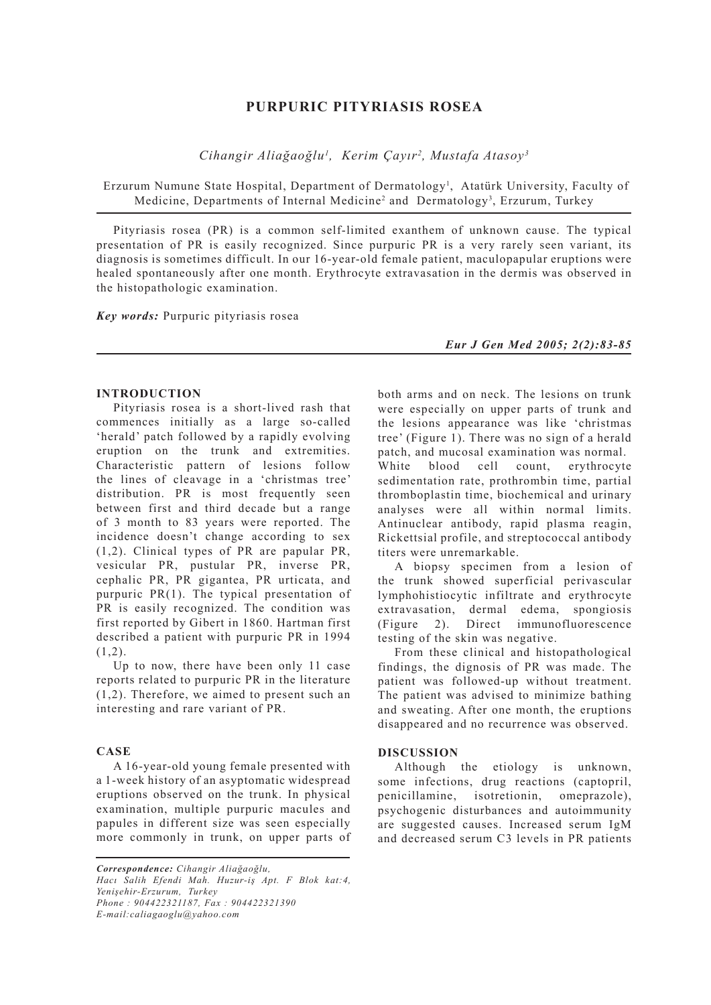# **PURPURIC PITYRIASIS ROSEA**

*Cihangir Aliağaoğlu1 , Kerim Çayır2 , Mustafa Atasoy3*

Erzurum Numune State Hospital, Department of Dermatology<sup>1</sup>, Atatürk University, Faculty of Medicine, Departments of Internal Medicine<sup>2</sup> and Dermatology<sup>3</sup>, Erzurum, Turkey

Pityriasis rosea (PR) is a common self-limited exanthem of unknown cause. The typical presentation of PR is easily recognized. Since purpuric PR is a very rarely seen variant, its diagnosis is sometimes difficult. In our 16-year-old female patient, maculopapular eruptions were healed spontaneously after one month. Erythrocyte extravasation in the dermis was observed in the histopathologic examination.

*Key words:* Purpuric pityriasis rosea

*Eur J Gen Med 2005; 2(2):83-85*

#### **INTRODUCTION**

Pityriasis rosea is a short-lived rash that commences initially as a large so-called 'herald' patch followed by a rapidly evolving eruption on the trunk and extremities. Characteristic pattern of lesions follow the lines of cleavage in a 'christmas tree' distribution. PR is most frequently seen between first and third decade but a range of 3 month to 83 years were reported. The incidence doesn't change according to sex (1,2). Clinical types of PR are papular PR, vesicular PR, pustular PR, inverse PR, cephalic PR, PR gigantea, PR urticata, and purpuric PR(1). The typical presentation of PR is easily recognized. The condition was first reported by Gibert in 1860. Hartman first described a patient with purpuric PR in 1994  $(1,2)$ .

Up to now, there have been only 11 case reports related to purpuric PR in the literature (1,2). Therefore, we aimed to present such an interesting and rare variant of PR.

### **CASE**

A 16-year-old young female presented with a 1-week history of an asyptomatic widespread eruptions observed on the trunk. In physical examination, multiple purpuric macules and papules in different size was seen especially more commonly in trunk, on upper parts of

*Correspondence: Cihangir Aliağaoğlu, Hacı Salih Efendi Mah. Huzur-iş Apt. F Blok kat:4, Yenişehir-Erzurum, Turkey Phone : 904422321187, Fax : 904422321390 E-mail:caliagaoglu@yahoo.com*

both arms and on neck. The lesions on trunk were especially on upper parts of trunk and the lesions appearance was like 'christmas tree' (Figure 1). There was no sign of a herald patch, and mucosal examination was normal. White blood cell count erythrocyte sedimentation rate, prothrombin time, partial thromboplastin time, biochemical and urinary analyses were all within normal limits. Antinuclear antibody, rapid plasma reagin, Rickettsial profile, and streptococcal antibody titers were unremarkable.

A biopsy specimen from a lesion of the trunk showed superficial perivascular lymphohistiocytic infiltrate and erythrocyte extravasation, dermal edema, spongiosis (Figure 2). Direct immunofluorescence testing of the skin was negative.

From these clinical and histopathological findings, the dignosis of PR was made. The patient was followed-up without treatment. The patient was advised to minimize bathing and sweating. After one month, the eruptions disappeared and no recurrence was observed.

### **DISCUSSION**

Although the etiology is unknown, some infections, drug reactions (captopril, penicillamine, isotretionin, omeprazole), psychogenic disturbances and autoimmunity are suggested causes. Increased serum IgM and decreased serum C3 levels in PR patients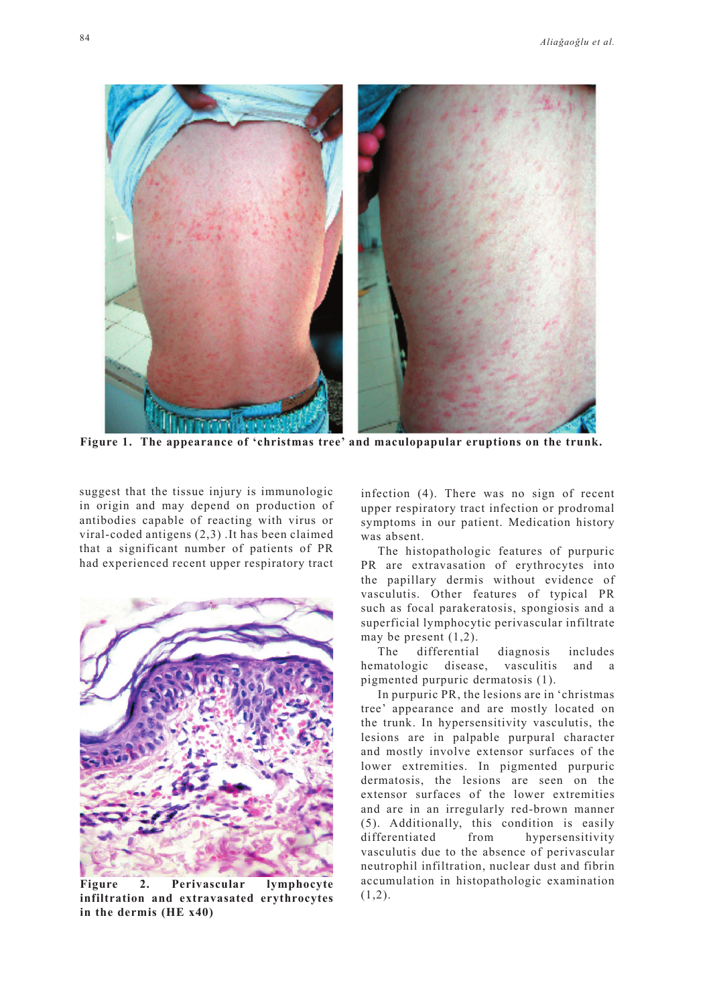

**Figure 1. The appearance of 'christmas tree' and maculopapular eruptions on the trunk.**

suggest that the tissue injury is immunologic in origin and may depend on production of antibodies capable of reacting with virus or viral-coded antigens (2,3) .It has been claimed that a significant number of patients of PR had experienced recent upper respiratory tract



(1,2). **Figure 2. Perivascular lymphocyte infiltration and extravasated erythrocytes in the dermis (HE x40)**

infection (4). There was no sign of recent upper respiratory tract infection or prodromal symptoms in our patient. Medication history was absent.

The histopathologic features of purpuric PR are extravasation of erythrocytes into the papillary dermis without evidence of vasculutis. Other features of typical PR such as focal parakeratosis, spongiosis and a superficial lymphocytic perivascular infiltrate may be present (1,2).

The differential diagnosis includes hematologic disease, vasculitis and a pigmented purpuric dermatosis (1).

In purpuric PR, the lesions are in 'christmas tree' appearance and are mostly located on the trunk. In hypersensitivity vasculutis, the lesions are in palpable purpural character and mostly involve extensor surfaces of the lower extremities. In pigmented purpuric dermatosis, the lesions are seen on the extensor surfaces of the lower extremities and are in an irregularly red-brown manner (5). Additionally, this condition is easily differentiated from hypersensitivity vasculutis due to the absence of perivascular neutrophil infiltration, nuclear dust and fibrin accumulation in histopathologic examination